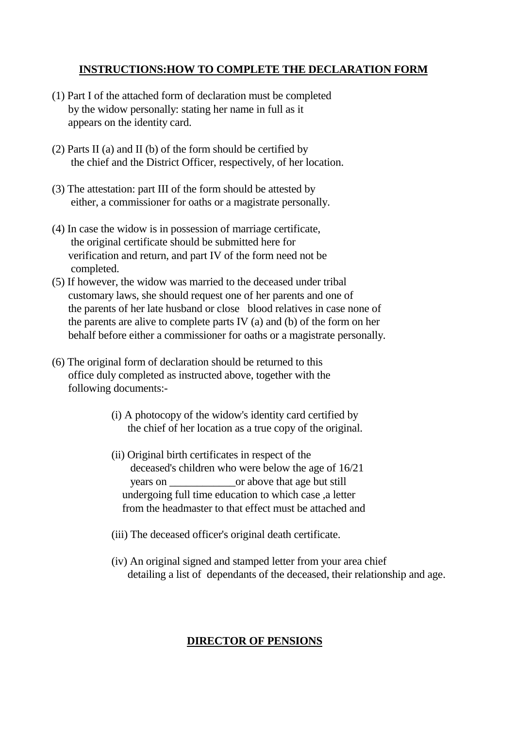### **INSTRUCTIONS:HOW TO COMPLETE THE DECLARATION FORM**

- (1) Part I of the attached form of declaration must be completed by the widow personally: stating her name in full as it appears on the identity card.
- (2) Parts II (a) and II (b) of the form should be certified by the chief and the District Officer, respectively, of her location.
- (3) The attestation: part III of the form should be attested by either, a commissioner for oaths or a magistrate personally.
- (4) In case the widow is in possession of marriage certificate, the original certificate should be submitted here for verification and return, and part IV of the form need not be completed.
- (5) If however, the widow was married to the deceased under tribal customary laws, she should request one of her parents and one of the parents of her late husband or close blood relatives in case none of the parents are alive to complete parts IV (a) and (b) of the form on her behalf before either a commissioner for oaths or a magistrate personally.
- (6) The original form of declaration should be returned to this office duly completed as instructed above, together with the following documents:-
	- (i) A photocopy of the widow's identity card certified by the chief of her location as a true copy of the original.
	- (ii) Original birth certificates in respect of the deceased's children who were below the age of 16/21 years on  $\Box$  or above that age but still undergoing full time education to which case ,a letter from the headmaster to that effect must be attached and
	- (iii) The deceased officer's original death certificate.
	- (iv) An original signed and stamped letter from your area chief detailing a list of dependants of the deceased, their relationship and age.

### **DIRECTOR OF PENSIONS**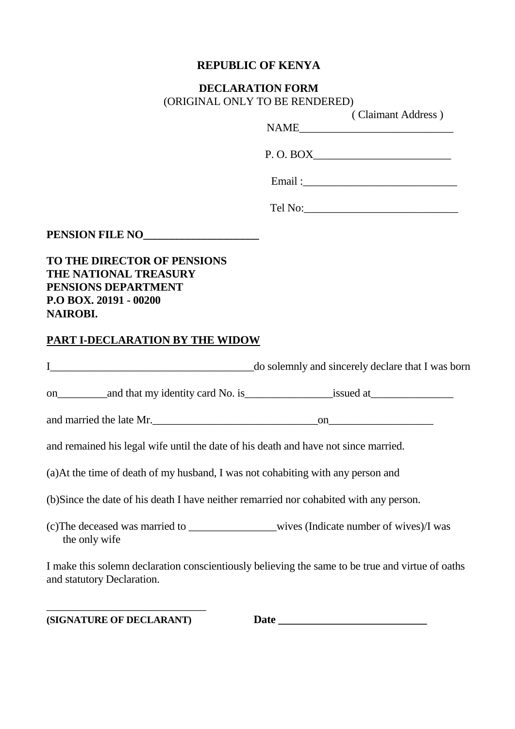### **REPUBLIC OF KENYA**

#### **DECLARATION FORM** (ORIGINAL ONLY TO BE RENDERED)

( Claimant Address )

 $NAME$ 

P. O. BOX\_\_\_\_\_\_\_\_\_\_\_\_\_\_\_\_\_\_\_\_\_\_\_\_\_

Email :

Tel No:\_\_\_\_\_\_\_\_\_\_\_\_\_\_\_\_\_\_\_\_\_\_\_\_\_\_\_\_

**PENSION FILE NO\_\_\_\_\_\_\_\_\_\_\_\_\_\_\_\_\_\_\_\_\_\_\_** 

**TO THE DIRECTOR OF PENSIONS THE NATIONAL TREASURY PENSIONS DEPARTMENT P.O BOX. 20191 - 00200 NAIROBI.**

### **PART I-DECLARATION BY THE WIDOW**

| $\mathbf{I}$ and $\mathbf{I}$ are the set of $\mathbf{I}$ and $\mathbf{I}$ are the set of $\mathbf{I}$ | do solemnly and sincerely declare that I was born                                                |  |  |  |
|--------------------------------------------------------------------------------------------------------|--------------------------------------------------------------------------------------------------|--|--|--|
|                                                                                                        |                                                                                                  |  |  |  |
| and married the late Mr.                                                                               |                                                                                                  |  |  |  |
| and remained his legal wife until the date of his death and have not since married.                    |                                                                                                  |  |  |  |
| (a) At the time of death of my husband, I was not cohabiting with any person and                       |                                                                                                  |  |  |  |
| (b) Since the date of his death I have neither remarried nor cohabited with any person.                |                                                                                                  |  |  |  |
| the only wife                                                                                          |                                                                                                  |  |  |  |
| and statutory Declaration.                                                                             | I make this solemn declaration conscientiously believing the same to be true and virtue of oaths |  |  |  |

\_\_\_\_\_\_\_\_\_\_\_\_\_\_\_\_\_\_\_\_\_\_\_\_\_\_\_\_\_

**(SIGNATURE OF DECLARANT) Date \_\_\_\_\_\_\_\_\_\_\_\_\_\_\_\_\_\_\_\_\_\_\_\_\_\_\_**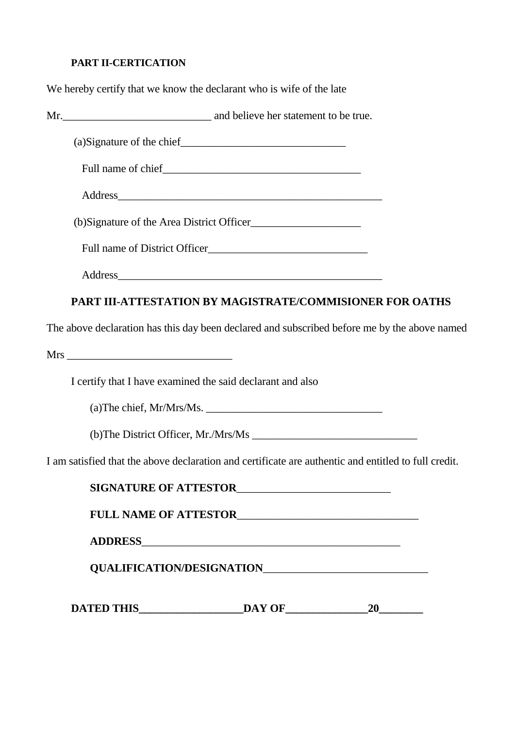# **PART II-CERTICATION**

We hereby certify that we know the declarant who is wife of the late

| (b)Signature of the Area District Officer                                                            |  |
|------------------------------------------------------------------------------------------------------|--|
|                                                                                                      |  |
|                                                                                                      |  |
| PART III-ATTESTATION BY MAGISTRATE/COMMISIONER FOR OATHS                                             |  |
| The above declaration has this day been declared and subscribed before me by the above named         |  |
|                                                                                                      |  |
| I certify that I have examined the said declarant and also                                           |  |
|                                                                                                      |  |
|                                                                                                      |  |
| I am satisfied that the above declaration and certificate are authentic and entitled to full credit. |  |
| SIGNATURE OF ATTESTOR                                                                                |  |
| FULL NAME OF ATTESTOR                                                                                |  |
|                                                                                                      |  |
|                                                                                                      |  |
|                                                                                                      |  |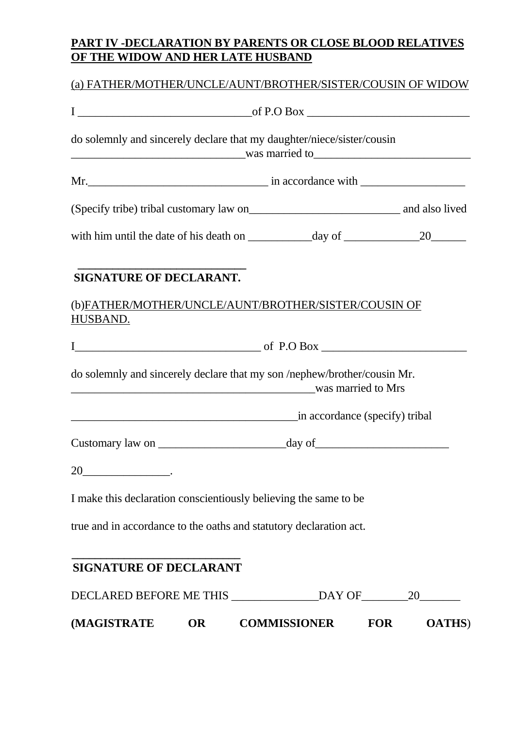## **PART IV -DECLARATION BY PARENTS OR CLOSE BLOOD RELATIVES OF THE WIDOW AND HER LATE HUSBAND**

## (a) FATHER/MOTHER/UNCLE/AUNT/BROTHER/SISTER/COUSIN OF WIDOW

| <b>SIGNATURE OF DECLARANT.</b>                                                                                                                                                                                                                                                                                                                                                                    |                                |  |
|---------------------------------------------------------------------------------------------------------------------------------------------------------------------------------------------------------------------------------------------------------------------------------------------------------------------------------------------------------------------------------------------------|--------------------------------|--|
| (b)FATHER/MOTHER/UNCLE/AUNT/BROTHER/SISTER/COUSIN OF<br>HUSBAND.                                                                                                                                                                                                                                                                                                                                  |                                |  |
|                                                                                                                                                                                                                                                                                                                                                                                                   |                                |  |
| $I$ of P.O Box $\overline{\phantom{a}}$                                                                                                                                                                                                                                                                                                                                                           |                                |  |
| do solemnly and sincerely declare that my son /nephew/brother/cousin Mr.                                                                                                                                                                                                                                                                                                                          | was married to Mrs             |  |
|                                                                                                                                                                                                                                                                                                                                                                                                   | in accordance (specify) tribal |  |
|                                                                                                                                                                                                                                                                                                                                                                                                   |                                |  |
| 20<br>$\begin{picture}(20,20) \put(0,0){\dashbox{0.5}(5,0){ }} \put(15,0){\circle{10}} \put(15,0){\circle{10}} \put(15,0){\circle{10}} \put(15,0){\circle{10}} \put(15,0){\circle{10}} \put(15,0){\circle{10}} \put(15,0){\circle{10}} \put(15,0){\circle{10}} \put(15,0){\circle{10}} \put(15,0){\circle{10}} \put(15,0){\circle{10}} \put(15,0){\circle{10}} \put(15,0){\circle{10}} \put(15,0$ |                                |  |
| I make this declaration conscientiously believing the same to be                                                                                                                                                                                                                                                                                                                                  |                                |  |
| true and in accordance to the oaths and statutory declaration act.                                                                                                                                                                                                                                                                                                                                |                                |  |